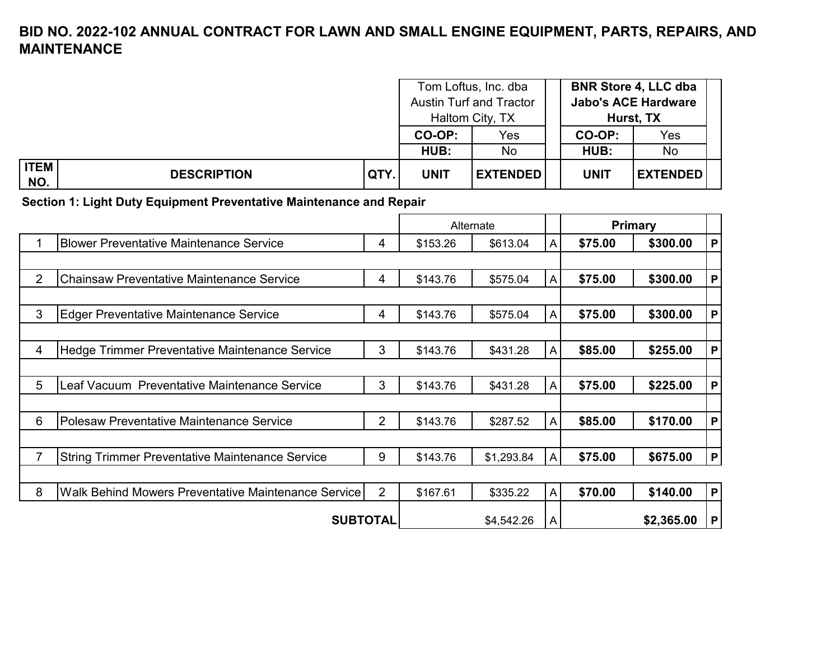|                    |                    |      |             | Tom Loftus, Inc. dba<br><b>Austin Turf and Tractor</b><br>Haltom City, TX |             | <b>BNR Store 4, LLC dba</b><br><b>Jabo's ACE Hardware</b><br>Hurst, TX |  |
|--------------------|--------------------|------|-------------|---------------------------------------------------------------------------|-------------|------------------------------------------------------------------------|--|
|                    |                    |      | CO-OP:      | Yes                                                                       | CO-OP:      | Yes                                                                    |  |
|                    |                    |      | HUB:<br>No  |                                                                           | HUB:        | No                                                                     |  |
| <b>ITEM</b><br>NO. | <b>DESCRIPTION</b> | QTY. | <b>UNIT</b> | <b>EXTENDED</b>                                                           | <b>UNIT</b> | <b>EXTENDED</b>                                                        |  |

**Section 1: Light Duty Equipment Preventative Maintenance and Repair**

|                |                                                            |                |          | Alternate  |              |         | <b>Primary</b> |   |
|----------------|------------------------------------------------------------|----------------|----------|------------|--------------|---------|----------------|---|
|                | <b>Blower Preventative Maintenance Service</b>             | 4              | \$153.26 | \$613.04   | A            | \$75.00 | \$300.00       | P |
|                |                                                            |                |          |            |              |         |                |   |
| $\overline{2}$ | <b>Chainsaw Preventative Maintenance Service</b>           | 4              | \$143.76 | \$575.04   | A            | \$75.00 | \$300.00       | P |
|                |                                                            |                |          |            |              |         |                |   |
| 3              | <b>Edger Preventative Maintenance Service</b>              | 4              | \$143.76 | \$575.04   | A            | \$75.00 | \$300.00       | P |
|                |                                                            |                |          |            |              |         |                |   |
| 4              | Hedge Trimmer Preventative Maintenance Service             | 3              | \$143.76 | \$431.28   | A            | \$85.00 | \$255.00       | P |
|                |                                                            |                |          |            |              |         |                |   |
| 5              | Leaf Vacuum Preventative Maintenance Service               | 3              | \$143.76 | \$431.28   | A            | \$75.00 | \$225.00       | P |
|                |                                                            |                |          |            |              |         |                |   |
| 6              | <b>Polesaw Preventative Maintenance Service</b>            | $\overline{2}$ | \$143.76 | \$287.52   | A            | \$85.00 | \$170.00       | P |
|                |                                                            |                |          |            |              |         |                |   |
| 7              | <b>String Trimmer Preventative Maintenance Service</b>     | 9              | \$143.76 | \$1,293.84 | $\mathsf{A}$ | \$75.00 | \$675.00       | P |
|                |                                                            |                |          |            |              |         |                |   |
| 8              | <b>Walk Behind Mowers Preventative Maintenance Service</b> | 2              | \$167.61 | \$335.22   | A            | \$70.00 | \$140.00       | P |
|                | <b>SUBTOTAL</b>                                            |                |          | \$4,542.26 | A            |         | \$2,365.00     | P |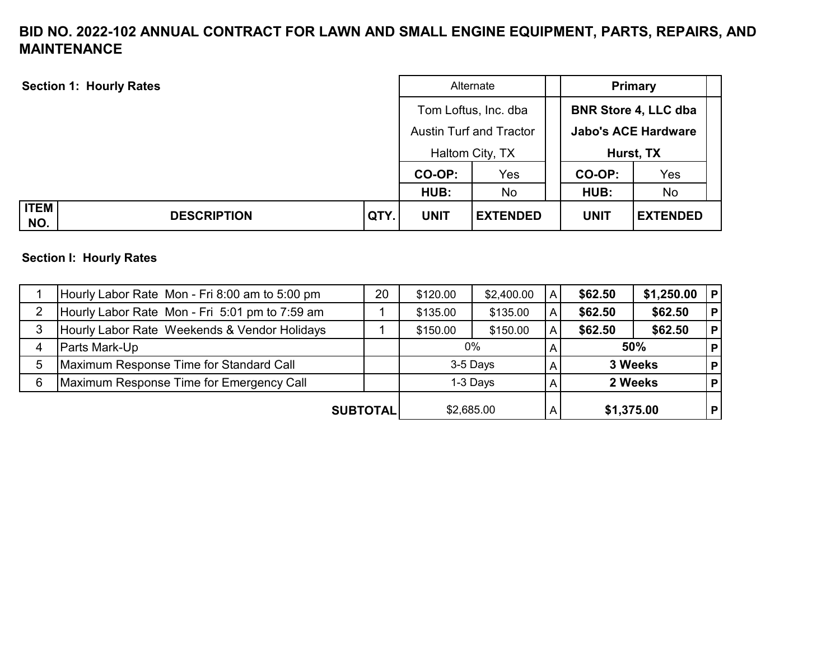| <b>Section 1: Hourly Rates</b> |      | Alternate   |                                                                           | <b>Primary</b>                                                         |                 |
|--------------------------------|------|-------------|---------------------------------------------------------------------------|------------------------------------------------------------------------|-----------------|
|                                |      |             | Tom Loftus, Inc. dba<br><b>Austin Turf and Tractor</b><br>Haltom City, TX | <b>BNR Store 4, LLC dba</b><br><b>Jabo's ACE Hardware</b><br>Hurst, TX |                 |
|                                |      | CO-OP:      | Yes                                                                       | Yes<br>CO-OP:                                                          |                 |
|                                |      | HUB:        | No                                                                        | HUB:                                                                   | No              |
| <b>ITEM</b>                    |      |             |                                                                           |                                                                        |                 |
| <b>DESCRIPTION</b><br>NO.      | QTY. | <b>UNIT</b> | <b>EXTENDED</b>                                                           | <b>UNIT</b>                                                            | <b>EXTENDED</b> |

#### **Section I: Hourly Rates**

|   | Hourly Labor Rate Mon - Fri 8:00 am to 5:00 pm | 20 | \$120.00   | \$2,400.00 | A            | \$62.50    | \$1,250.00 | P            |
|---|------------------------------------------------|----|------------|------------|--------------|------------|------------|--------------|
| 2 | Hourly Labor Rate Mon - Fri 5:01 pm to 7:59 am |    | \$135.00   | \$135.00   | $\mathsf{A}$ | \$62.50    | \$62.50    | $\mathsf{P}$ |
| 3 | Hourly Labor Rate Weekends & Vendor Holidays   |    | \$150.00   | \$150.00   | A            | \$62.50    | \$62.50    | P            |
| 4 | <b>Parts Mark-Up</b>                           |    | $0\%$      |            |              | 50%        |            | P            |
| 5 | Maximum Response Time for Standard Call        |    |            | 3-5 Days   |              |            | 3 Weeks    | P            |
| 6 | Maximum Response Time for Emergency Call       |    | 1-3 Days   |            |              |            | 2 Weeks    | P            |
|   | <b>SUBTOTAL</b>                                |    | \$2,685.00 |            |              | \$1,375.00 |            | P.           |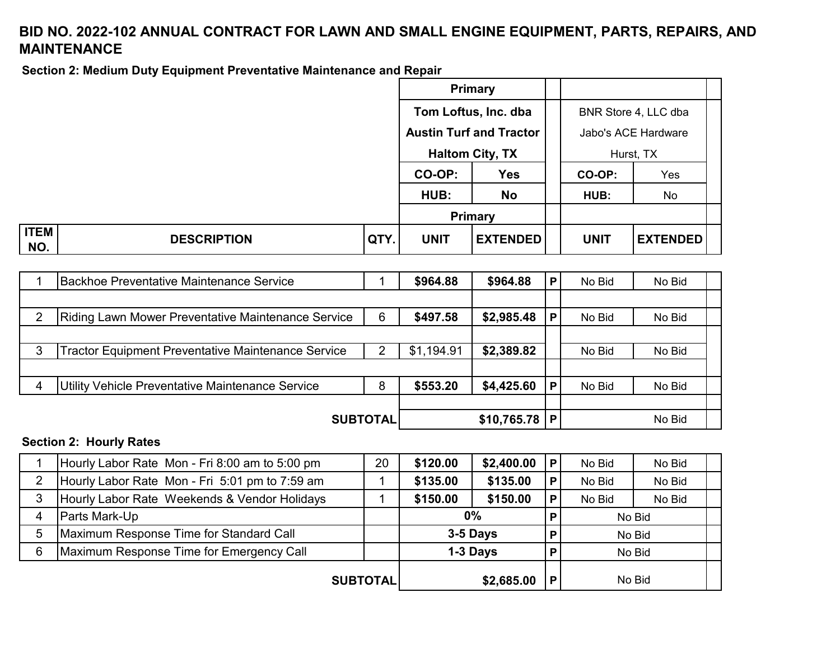**Section 2: Medium Duty Equipment Preventative Maintenance and Repair**

|                    |                    |      |                                | Primary              |                     |                      |
|--------------------|--------------------|------|--------------------------------|----------------------|---------------------|----------------------|
|                    |                    |      |                                | Tom Loftus, Inc. dba |                     | BNR Store 4, LLC dba |
|                    |                    |      | <b>Austin Turf and Tractor</b> |                      | Jabo's ACE Hardware |                      |
|                    |                    |      | <b>Haltom City, TX</b>         |                      | Hurst, TX           |                      |
|                    |                    |      | CO-OP:<br><b>Yes</b>           |                      | CO-OP:              | Yes                  |
|                    |                    |      | HUB:                           | <b>No</b>            | HUB:                | No                   |
|                    |                    |      | <b>Primary</b>                 |                      |                     |                      |
| <b>ITEM</b><br>NO. | <b>DESCRIPTION</b> | QTY. | <b>UNIT</b>                    | <b>EXTENDED</b>      | <b>UNIT</b>         | <b>EXTENDED</b>      |

|                 | Backhoe Preventative Maintenance Service                  |   | \$964.88       | \$964.88   | P | No Bid | No Bid |
|-----------------|-----------------------------------------------------------|---|----------------|------------|---|--------|--------|
|                 |                                                           |   |                |            |   |        |        |
| 2               | Riding Lawn Mower Preventative Maintenance Service        | 6 | \$497.58       | \$2,985.48 | P | No Bid | No Bid |
|                 |                                                           |   |                |            |   |        |        |
| 3               | <b>Tractor Equipment Preventative Maintenance Service</b> | 2 | \$1,194.91     | \$2,389.82 |   | No Bid | No Bid |
|                 |                                                           |   |                |            |   |        |        |
| 4               | Utility Vehicle Preventative Maintenance Service          | 8 | \$553.20       | \$4,425.60 | P | No Bid | No Bid |
|                 |                                                           |   |                |            |   |        |        |
| <b>SUBTOTAL</b> |                                                           |   | $$10,765.78$ P |            |   | No Bid |        |

#### **Section 2: Hourly Rates**

|                | Hourly Labor Rate Mon - Fri 8:00 am to 5:00 pm | 20 | \$2,400.00<br>\$120.00 |            | P | No Bid | No Bid |
|----------------|------------------------------------------------|----|------------------------|------------|---|--------|--------|
| $\overline{2}$ | Hourly Labor Rate Mon - Fri 5:01 pm to 7:59 am |    | \$135.00               | \$135.00   | Р | No Bid | No Bid |
| 3              | Hourly Labor Rate Weekends & Vendor Holidays   |    | \$150.00               | \$150.00   | P | No Bid | No Bid |
|                | Parts Mark-Up                                  |    | $0\%$                  |            | P | No Bid |        |
| 5              | Maximum Response Time for Standard Call        |    | 3-5 Days               |            | P | No Bid |        |
| 6              | Maximum Response Time for Emergency Call       |    |                        | 1-3 Days   | P | No Bid |        |
|                | <b>SUBTOTAL</b>                                |    |                        | \$2,685.00 |   |        | No Bid |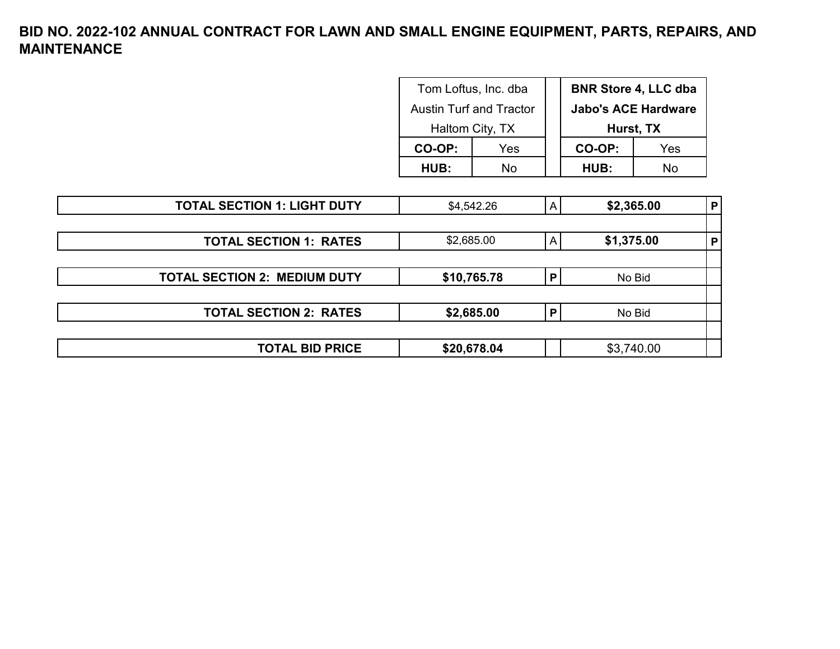| Tom Loftus, Inc. dba           |     |  | <b>BNR Store 4, LLC dba</b> |     |  |
|--------------------------------|-----|--|-----------------------------|-----|--|
| <b>Austin Turf and Tractor</b> |     |  | <b>Jabo's ACE Hardware</b>  |     |  |
| Haltom City, TX                |     |  | Hurst, TX                   |     |  |
| CO-OP:                         | Yes |  | CO-OP:                      | Yes |  |
| <b>HUB:</b>                    | N٥  |  | <b>HUB:</b>                 | N٥  |  |

| <b>TOTAL SECTION 1: LIGHT DUTY</b>  | \$4,542.26  | A | \$2,365.00 | P |
|-------------------------------------|-------------|---|------------|---|
|                                     |             |   |            |   |
| <b>TOTAL SECTION 1: RATES</b>       | \$2,685.00  | Α | \$1,375.00 | P |
|                                     |             |   |            |   |
| <b>TOTAL SECTION 2: MEDIUM DUTY</b> | \$10,765.78 | P | No Bid     |   |
|                                     |             |   |            |   |
| <b>TOTAL SECTION 2: RATES</b>       | \$2,685.00  | P | No Bid     |   |
|                                     |             |   |            |   |
| <b>TOTAL BID PRICE</b>              | \$20,678.04 |   | \$3,740.00 |   |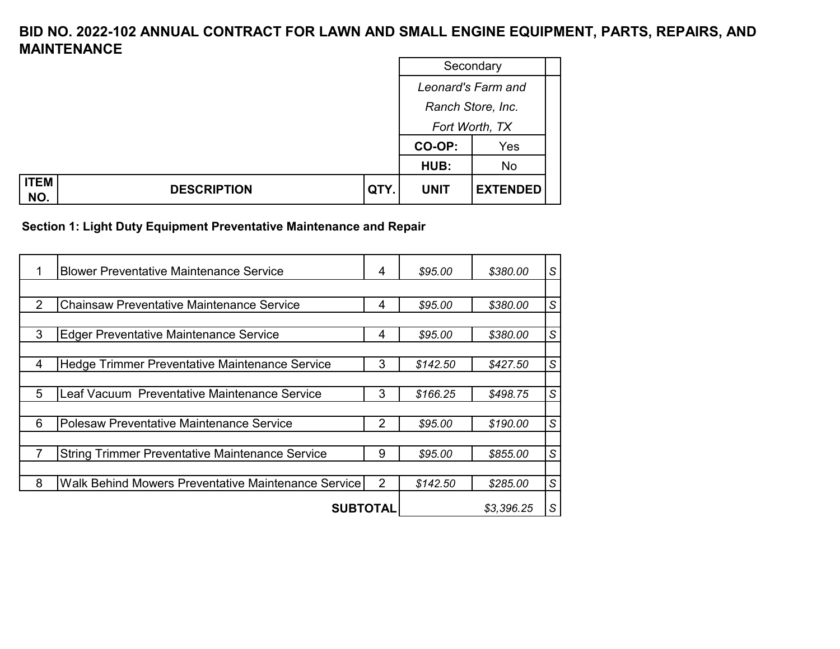|                                          |      |                | Secondary          |  |  |  |
|------------------------------------------|------|----------------|--------------------|--|--|--|
|                                          |      |                | Leonard's Farm and |  |  |  |
|                                          |      |                | Ranch Store, Inc.  |  |  |  |
|                                          |      | Fort Worth, TX |                    |  |  |  |
|                                          |      | CO-OP:         | Yes                |  |  |  |
|                                          |      | HUB:           | No                 |  |  |  |
| <b>ITEM</b><br><b>DESCRIPTION</b><br>NO. | QTY. | <b>UNIT</b>    | <b>EXTENDED</b>    |  |  |  |

**Section 1: Light Duty Equipment Preventative Maintenance and Repair**

|   | <b>Blower Preventative Maintenance Service</b>         | 4              | \$95.00    | \$380.00 | S             |
|---|--------------------------------------------------------|----------------|------------|----------|---------------|
|   |                                                        |                |            |          |               |
|   | <b>Chainsaw Preventative Maintenance Service</b>       | 4              | \$95.00    | \$380.00 | $\mathcal{S}$ |
|   |                                                        |                |            |          |               |
| 3 | <b>Edger Preventative Maintenance Service</b>          | 4              | \$95.00    | \$380.00 | S             |
|   |                                                        |                |            |          |               |
| 4 | Hedge Trimmer Preventative Maintenance Service         | 3              | \$142.50   | \$427.50 | $\mathsf S$   |
|   |                                                        |                |            |          |               |
| 5 | Leaf Vacuum Preventative Maintenance Service           | 3              | \$166.25   | \$498.75 | S             |
|   |                                                        |                |            |          |               |
| 6 | <b>Polesaw Preventative Maintenance Service</b>        | $\overline{2}$ | \$95.00    | \$190.00 | $\mathcal{S}$ |
|   |                                                        |                |            |          |               |
|   | <b>String Trimmer Preventative Maintenance Service</b> | 9              | \$95.00    | \$855.00 | S             |
|   |                                                        |                |            |          |               |
| 8 | Walk Behind Mowers Preventative Maintenance Service    | 2              | \$142.50   | \$285.00 | $\mathcal{S}$ |
|   | <b>SUBTOTAL</b>                                        |                | \$3,396.25 | S        |               |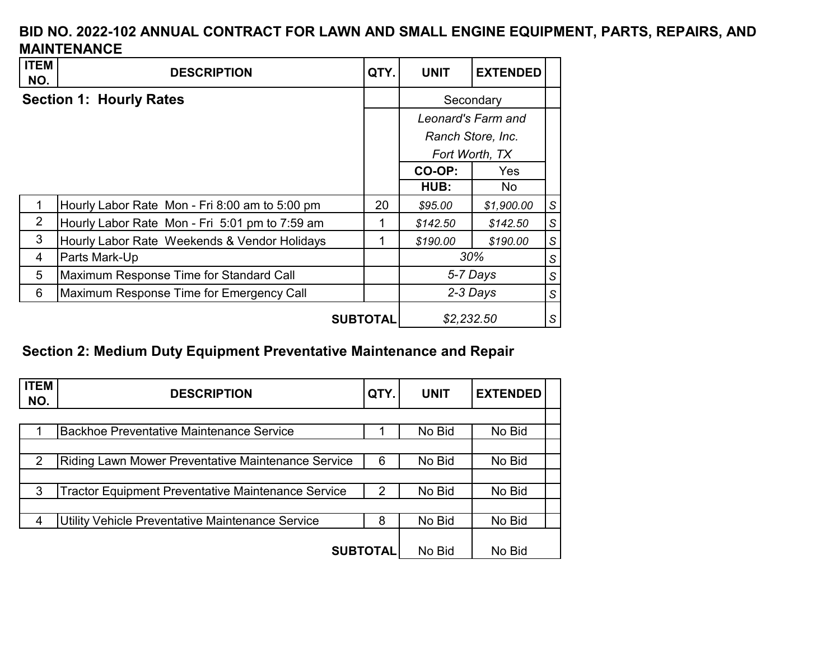| <b>ITEM</b><br>NO. | <b>DESCRIPTION</b>                             | QTY.       | <b>UNIT</b>    | <b>EXTENDED</b>    |   |
|--------------------|------------------------------------------------|------------|----------------|--------------------|---|
|                    | <b>Section 1: Hourly Rates</b>                 |            |                | Secondary          |   |
|                    |                                                |            |                | Leonard's Farm and |   |
|                    |                                                |            |                | Ranch Store, Inc.  |   |
|                    |                                                |            | Fort Worth, TX |                    |   |
|                    |                                                |            | CO-OP:         | <b>Yes</b>         |   |
|                    |                                                |            | HUB:           | No                 |   |
|                    | Hourly Labor Rate Mon - Fri 8:00 am to 5:00 pm | 20         | \$95.00        | \$1,900.00         | S |
| 2                  | Hourly Labor Rate Mon - Fri 5:01 pm to 7:59 am | 1          | \$142.50       | \$142.50           | S |
| 3                  | Hourly Labor Rate Weekends & Vendor Holidays   | 1          | \$190.00       | \$190.00           | S |
| 4                  | Parts Mark-Up                                  |            |                | 30%                | S |
| 5                  | Maximum Response Time for Standard Call        |            |                | 5-7 Days           | S |
| 6                  | Maximum Response Time for Emergency Call       |            |                | 2-3 Days           | S |
| <b>SUBTOTAL</b>    |                                                | \$2,232.50 |                | S                  |   |

# **Section 2: Medium Duty Equipment Preventative Maintenance and Repair**

| <b>ITEM</b><br>NO. | <b>DESCRIPTION</b>                                        | QTY. | <b>UNIT</b> | <b>EXTENDED</b> |  |
|--------------------|-----------------------------------------------------------|------|-------------|-----------------|--|
|                    |                                                           |      |             |                 |  |
|                    | <b>Backhoe Preventative Maintenance Service</b>           |      | No Bid      | No Bid          |  |
|                    |                                                           |      |             |                 |  |
| $\mathcal{P}$      | Riding Lawn Mower Preventative Maintenance Service        | 6    | No Bid      | No Bid          |  |
|                    |                                                           |      |             |                 |  |
| 3                  | <b>Tractor Equipment Preventative Maintenance Service</b> | 2    | No Bid      | No Bid          |  |
|                    |                                                           |      |             |                 |  |
|                    | Utility Vehicle Preventative Maintenance Service          | 8    | No Bid      | No Bid          |  |
|                    |                                                           |      |             |                 |  |
|                    | <b>SUBTOTAL</b>                                           |      | No Bid      | No Bid          |  |